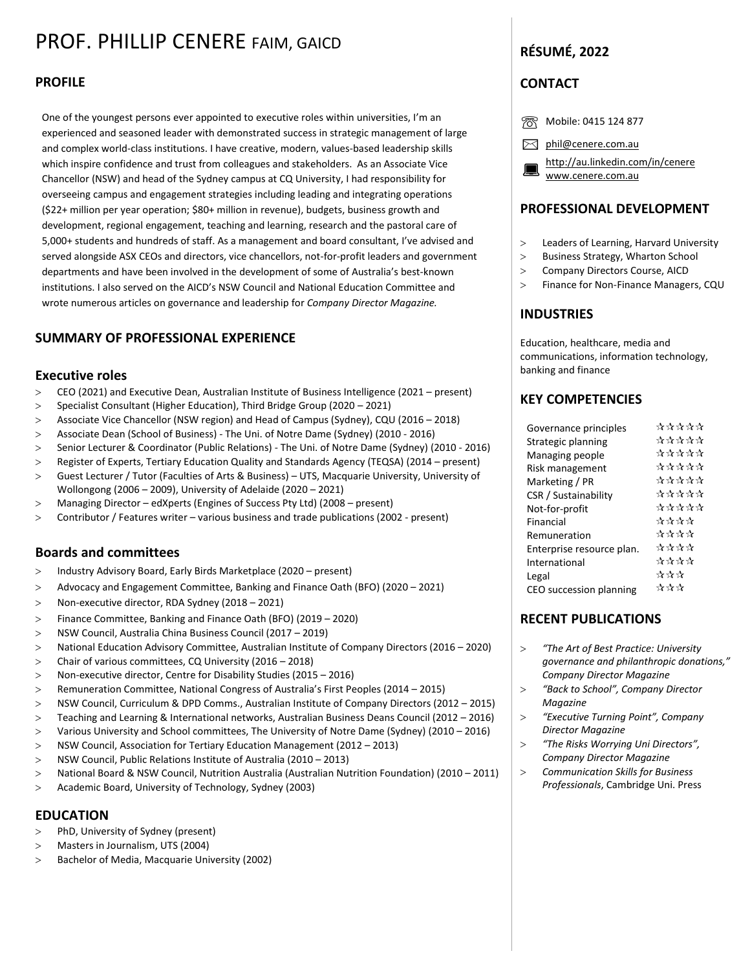# PROF. PHILLIP CENERE FAIM, GAICD

#### **PROFILE**

One of the youngest persons ever appointed to executive roles within universities, I'm an experienced and seasoned leader with demonstrated success in strategic management of large and complex world-class institutions. I have creative, modern, values-based leadership skills which inspire confidence and trust from colleagues and stakeholders. As an Associate Vice Chancellor (NSW) and head of the Sydney campus at CQ University, I had responsibility for overseeing campus and engagement strategies including leading and integrating operations (\$22+ million per year operation; \$80+ million in revenue), budgets, business growth and development, regional engagement, teaching and learning, research and the pastoral care of 5,000+ students and hundreds of staff. As a management and board consultant, I've advised and served alongside ASX CEOs and directors, vice chancellors, not-for-profit leaders and government departments and have been involved in the development of some of Australia's best-known institutions. I also served on the AICD's NSW Council and National Education Committee and wrote numerous articles on governance and leadership for *Company Director Magazine.*

### **SUMMARY OF PROFESSIONAL EXPERIENCE**

#### **Executive roles**

- CEO (2021) and Executive Dean, Australian Institute of Business Intelligence (2021 present)
- Specialist Consultant (Higher Education), Third Bridge Group (2020 2021)
- Associate Vice Chancellor (NSW region) and Head of Campus (Sydney), CQU (2016 2018)
- Associate Dean (School of Business) The Uni. of Notre Dame (Sydney) (2010 2016)
- Senior Lecturer & Coordinator (Public Relations) The Uni. of Notre Dame (Sydney) (2010 2016)
- Register of Experts, Tertiary Education Quality and Standards Agency (TEQSA) (2014 present)
- Guest Lecturer / Tutor (Faculties of Arts & Business) [–](http://facebook.com/pages/Aaron-Gregory-Systems-Analyst/380421035382603/?sk=info) UTS, Macquarie University, University of Wollongong (2006 – 2009), University of Adelaide (2020 – 2021)
- Managing Director edXperts (Engines of Success Pty Ltd) (2008 present)
- Contributor / Features writer various business and trade publications (2002 present)

### **Boards and committees**

- > Industry Advisory Board, Early Birds Marketplace (2020 present)
- Advocacy and Engagement Committee, Banking and Finance Oath (BFO) (2020 2021)
- Non-executive director, RDA Sydney (2018 2021)
- Finance Committee, Banking and Finance Oath (BFO) (2019 2020)
- NSW Council, Australia China Business Council (2017 2019)
- National Education Advisory Committee, Australian Institute of Company Directors (2016 2020)
- Chair of various committees, CQ University (2016 2018)
- Non-executive director, Centre for Disability Studies (2015 2016)
- Remuneration Committee, National Congress of Australia's First Peoples (2014 2015)
- NSW Council, Curriculum & DPD Comms., Australian Institute of Company Directors (2012 2015)
- Teaching and Learning & International networks, Australian Business Deans Council (2012 2016)
- Various University and School committees, The University of Notre Dame (Sydney) (2010 2016)
- NSW Council, Association for Tertiary Education Management (2012 2013)
- NSW Council, Public Relations Institute of Australia (2010 2013)
- National Board & NSW Council, Nutrition Australia (Australian Nutrition Foundation) (2010 2011)
- Academic Board, University of Technology, Sydney (2003)

#### **EDUCATION**

- PhD, University of Sydney (present)
- Masters in Journalism, UTS (2004)
- Bachelor of Media, Macquarie University (2002)

### **RÉSUMÉ, 2022**

### **CONTACT**

- ☏ Mobile: 0415 124 877
- $\boxtimes$  [phil@cenere.com.au](mailto:phil@cenere.com.au)

 <http://au.linkedin.com/in/cenere> <www.cenere.com.au>

#### **PROFESSIONAL DEVELOPMENT**

- Leaders of Learning, Harvard University
- > Business Strategy, Wharton School
- > Company Directors Course, AICD
- Finance for Non-Finance Managers, CQU

### **INDUSTRIES**

Education, healthcare, media and communications, information technology, banking and finance

### **KEY COMPETENCIES**

| Governance principles     | <del>주주주주주</del>  |
|---------------------------|-------------------|
| Strategic planning        | <i>자자자자</i> 사     |
| Managing people           | <i>자자자자</i> 사     |
| Risk management           | ☆☆☆☆☆             |
| Marketing / PR            | ☆☆☆☆☆             |
| CSR / Sustainability      | <i>자주 자주 자</i>    |
| Not-for-profit            | <i>자주 자주 자</i>    |
| Financial                 | ☆☆☆☆              |
| Remuneration              | ☆☆☆☆              |
| Enterprise resource plan. | <del>자주 주 주</del> |
| International             | ****              |
| Legal                     | ☆☆☆               |
| CEO succession planning   | ☆☆☆               |
|                           |                   |

### **RECENT PUBLICATIONS**

- *"The Art of Best Practice: University governance and philanthropic donations," Company Director Magazine*
- *"Back to School", Company Director Magazine*
- *"Executive Turning Point", Company Director Magazine*
- *"The Risks Worrying Uni Directors", Company Director Magazine*
- *Communication Skills for Business Professionals*, Cambridge Uni. Press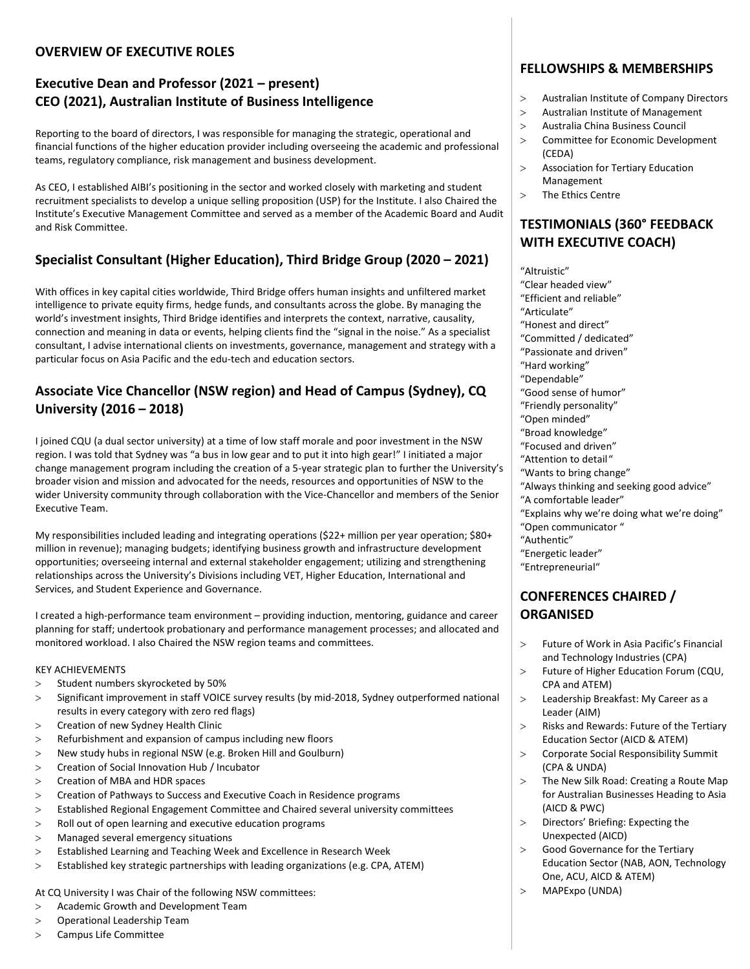### **OVERVIEW OF EXECUTIVE ROLES**

# **Executive Dean and Professor (2021 – present) CEO (2021), Australian Institute of Business Intelligence**

Reporting to the board of directors, I was responsible for managing the strategic, operational and financial functions of the higher education provider including overseeing the academic and professional teams, regulatory compliance, risk management and business development.

As CEO, I established AIBI's positioning in the sector and worked closely with marketing and student recruitment specialists to develop a unique selling proposition (USP) for the Institute. I also Chaired the Institute's Executive Management Committee and served as a member of the Academic Board and Audit and Risk Committee.

# **Specialist Consultant (Higher Education), Third Bridge Group (2020 – 2021)**

With offices in key capital cities worldwide, Third Bridge offers human insights and unfiltered market intelligence to private equity firms, hedge funds, and consultants across the globe. By managing the world's investment insights, Third Bridge identifies and interprets the context, narrative, causality, connection and meaning in data or events, helping clients find the "signal in the noise." As a specialist consultant, I advise international clients on investments, governance, management and strategy with a particular focus on Asia Pacific and the edu-tech and education sectors.

# **Associate Vice Chancellor (NSW region) and Head of Campus (Sydney), CQ University (2016 – 2018)**

I joined CQU (a dual sector university) at a time of low staff morale and poor investment in the NSW region. I was told that Sydney was "a bus in low gear and to put it into high gear!" I initiated a major change management program including the creation of a 5-year strategic plan to further the University's broader vision and mission and advocated for the needs, resources and opportunities of NSW to the wider University community through collaboration with the Vice-Chancellor and members of the Senior Executive Team.

My responsibilities included leading and integrating operations (\$22+ million per year operation; \$80+ million in revenue); managing budgets; identifying business growth and infrastructure development opportunities; overseeing internal and external stakeholder engagement; utilizing and strengthening relationships across the University's Divisions including VET, Higher Education, International and Services, and Student Experience and Governance.

I created a high-performance team environment – providing induction, mentoring, guidance and career planning for staff; undertook probationary and performance management processes; and allocated and monitored workload. I also Chaired the NSW region teams and committees.

### KEY ACHIEVEMENTS

- > Student numbers skyrocketed by 50%
- Significant improvement in staff VOICE survey results (by mid-2018, Sydney outperformed national results in every category with zero red flags)
- > Creation of new Sydney Health Clinic
- Refurbishment and expansion of campus including new floors
- New study hubs in regional NSW (e.g. Broken Hill and Goulburn)
- Creation of Social Innovation Hub / Incubator
- Creation of MBA and HDR spaces
- Creation of Pathways to Success and Executive Coach in Residence programs
- Established Regional Engagement Committee and Chaired several university committees
- Roll out of open learning and executive education programs
- Managed several emergency situations
- Established Learning and Teaching Week and Excellence in Research Week
- Established key strategic partnerships with leading organizations (e.g. CPA, ATEM)

### At CQ University I was Chair of the following NSW committees:

- Academic Growth and Development Team
- Operational Leadership Team
- Campus Life Committee

# **FELLOWSHIPS & MEMBERSHIPS**

- Australian Institute of Company Directors
- Australian Institute of Management
- Australia China Business Council
- > Committee for Economic Development (CEDA)
- Association for Tertiary Education Management
- > The Ethics Centre

# **TESTIMONIALS (360° FEEDBACK WITH EXECUTIVE COACH)**

"Altruistic" "Clear headed view"

- "Efficient and reliable"
- "Articulate"
- "Honest and direct"
- "Committed / dedicated"
- "Passionate and driven"
- "Hard working"
- "Dependable"
- "Good sense of humor"
- "Friendly personality"
- "Open minded"
- "Broad knowledge"
- "Focused and driven"
- "Attention to detail"
- "Wants to bring change"
- "Always thinking and seeking good advice"
- "A comfortable leader"
- "Explains why we're doing what we're doing"
- "Open communicator "
- "Authentic"
- "Energetic leader"
- "Entrepreneurial"

### **CONFERENCES CHAIRED / ORGANISED**

- Future of Work in Asia Pacific's Financial and Technology Industries (CPA)
- > Future of Higher Education Forum (CQU, CPA and ATEM)
- Leadership Breakfast: My Career as a Leader (AIM)
- Risks and Rewards: Future of the Tertiary Education Sector (AICD & ATEM)
- Corporate Social Responsibility Summit (CPA & UNDA)
- The New Silk Road: Creating a Route Map for Australian Businesses Heading to Asia (AICD & PWC)
- > Directors' Briefing: Expecting the Unexpected (AICD)
- Good Governance for the Tertiary Education Sector (NAB, AON, Technology One, ACU, AICD & ATEM)
- MAPExpo (UNDA)